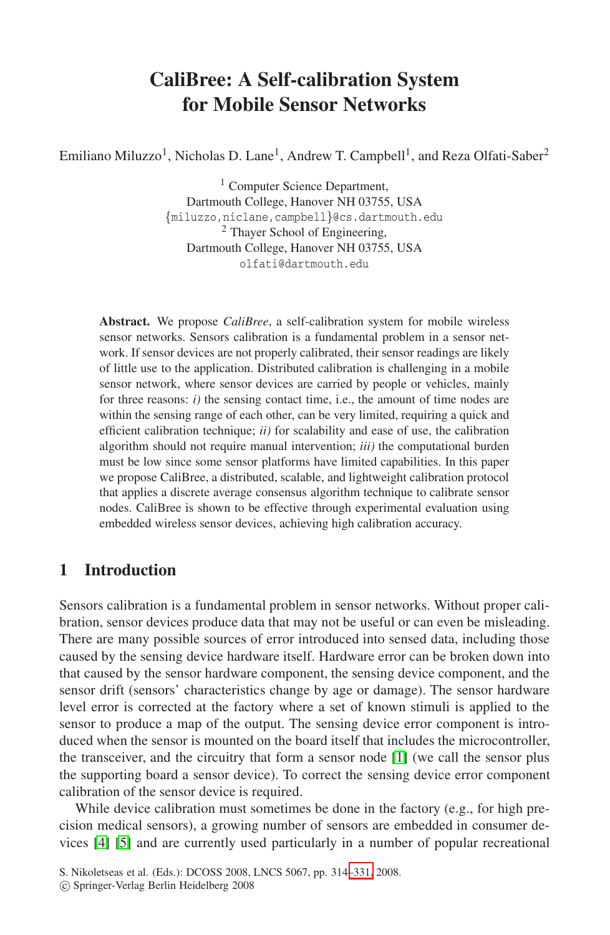# **CaliBree: A Self-calibration System for Mobile Sensor Networks**

Emiliano Miluzzo<sup>1</sup>, Nicholas D. Lane<sup>1</sup>, Andrew T. Campbell<sup>1</sup>, and Reza Olfati-Saber<sup>2</sup>

<sup>1</sup> Computer Science Department, Dartmouth College, Hanover NH 03755, USA {miluzzo,niclane,campbell}@cs.dartmouth.edu <sup>2</sup> Thayer School of Engineering, Dartmouth College, Hanover NH 03755, USA olfati@dartmouth.edu

**Abstract.** We propose *CaliBree*, a self-calibration system for mobile wireless sensor networks. Sensors calibration is a fundamental problem in a sensor network. If sensor devices are not properly calibrated, their sensor readings are likely of little use to the application. Distributed calibration is challenging in a mobile sensor network, where sensor devices are carried by people or vehicles, mainly for three reasons: *i)* the sensing contact time, i.e., the amount of time nodes are within the sensing range of each other, can be very limited, requiring a quick and efficient calibration technique; *ii)* for scalability and ease of use, the calibration algorithm should not require manual intervention; *iii)* the computational burden must be low since some sensor platforms have limited capabilities. In this paper we propose CaliBree, a distributed, scalable, and lightweight calibration protocol that applies a discrete average consensus algorithm technique to calibrate sensor nodes. CaliBree is shown to be effective through experimental evaluation using embedded wireless sensor devices, achieving high calibration accuracy.

# **1 Introduction**

Sensors calibration is a fundamental problem in sensor networks. Without proper calibration, sensor devices produce data t[hat](#page-15-0) may not be useful or can even be misleading. There are many possible sources of error introduced into sensed data, including those caused by the sensing device hardware itself. Hardware error can be broken down into that caused by the sensor hardware component, the sensing device component, and the sensor drift (sensors' characteristics change by age or damage). The sensor hardware level error is corrected at the factory where a set of known stimuli is applied to the sensor to produce a map of the output. The sensing device error component is introduced when the sensor is mou[nted](#page-17-0) on the board itself that includes the microcontroller, the transceiver, and the circuitry that form a sensor node [1] (we call the sensor plus the supporting board a sensor device). To correct the sensing device error component calibration of the sensor device is required.

While device calibration must sometimes be done in the factory (e.g., for high precision medical sensors), a growing number of sensors are embedded in consumer devices [4] [5] and are currently used particularly in a number of popular recreational

S. Nikoletseas et al. (Eds.): DCOSS 2008, LNCS 5067, pp. 314–331, 2008.

<sup>-</sup>c Springer-Verlag Berlin Heidelberg 2008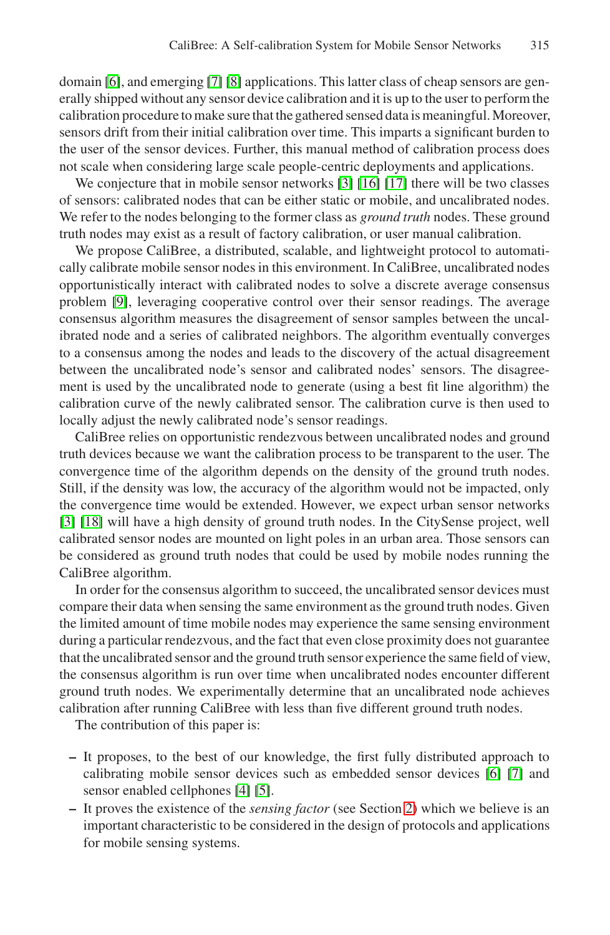domain [6], and emerging [7] [8] applications. This latter class of cheap sensors are generally shipped without any sensor device calibration and it is up to the user to perform the calibration procedure to make sure that the gathered sensed data is meaningful. Moreover, sensors drift from their initial calibration over time. This imparts a significant burden to the user of the sensor devices. Further, this manual method of calibration process does not scale when considering large scale people-centric deployments and applications.

We conjecture that in mobile sensor networks [3] [16] [17] there will be two classes of sensors: calibrated nodes that can be either static or mobile, and uncalibrated nodes. We refer to the nodes belonging to the former class as *ground truth* nodes. These ground truth nodes may exist as a result of factory calibration, or user manual calibration.

We propose CaliBree, a distributed, scalable, and lightweight protocol to automatically calibrate mobile sensor nodes in this environment. In CaliBree, uncalibrated nodes opportunistically interact with calibrated nodes to solve a discrete average consensus problem [9], leveraging cooperative control over their sensor readings. The average consensus algorithm measures the disagreement of sensor samples between the uncalibrated node and a series of calibrated neighbors. The algorithm eventually converges to a consensus among the nodes and leads to the discovery of the actual disagreement between the uncalibrated node's sensor and calibrated nodes' sensors. The disagreement is used by the uncalibrated node to generate (using a best fit line algorithm) the calibration curve of the newly calibrated sensor. The calibration curve is then used to locally adjust the newly calibrated node's sensor readings.

CaliBree relies on opportunistic rendezvous between uncalibrated nodes and ground truth devices because we want the calibration process to be transparent to the user. The convergence time of the algorithm depends on the density of the ground truth nodes. Still, if the density was low, the accuracy of the algorithm would not be impacted, only the convergence time would be extended. However, we expect urban sensor networks [3] [18] will have a high density of ground truth nodes. In the CitySense project, well calibrated sensor nodes are mounted on light poles in an urban area. Those sensors can be considered as ground truth nodes that could be used by mobile nodes running the CaliBree algorithm.

In order for the consensus algorithm to succeed, the uncalibrated sensor devices must compare their data when sensing the same environment as the ground truth nodes. Given the limited amount of time mobile nodes may experience the same sensing environment during a particular rendezvous, and the fact that even cl[ose](#page-15-2) [pro](#page-16-2)ximity does not guarantee that the un[cal](#page-15-3)i[bra](#page-15-4)ted sensor and the ground truth sensor experience the same field of view, the consensus algorithm is run over tim[e w](#page-2-0)hen uncalibrated nodes encounter different ground truth nodes. We experimentally determine that an uncalibrated node achieves calibration after running CaliBree with less than five different ground truth nodes.

The contribution of this paper is:

- **–** It proposes, to the best of our knowledge, the first fully distributed approach to calibrating mobile sensor devices such as embedded sensor devices [6] [7] and sensor enabled cellphones [4] [5].
- **–** It proves the existence of the *sensing factor* (see Section 2) which we believe is an important characteristic to be considered in the design of protocols and applications for mobile sensing systems.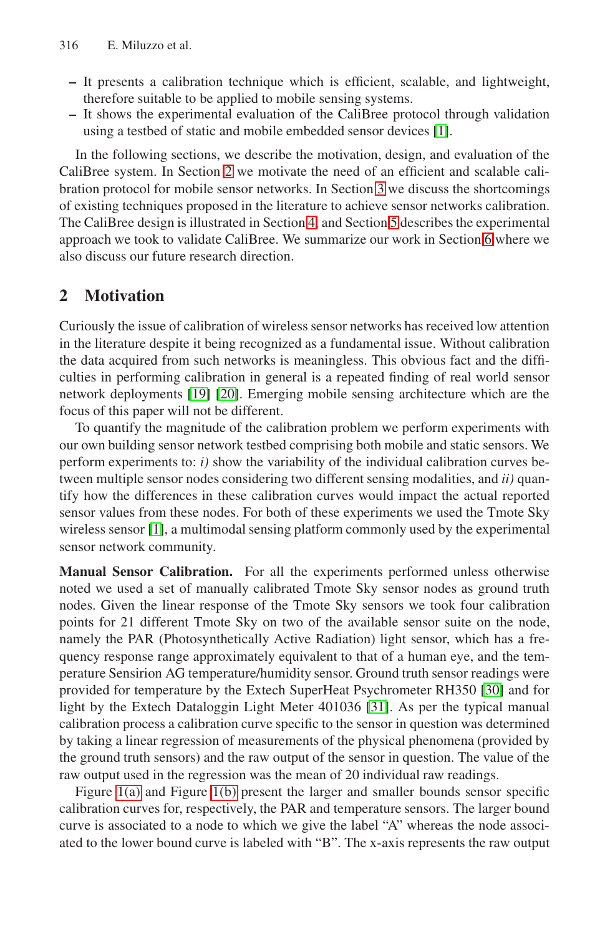- **–** It presents a calibration technique which is efficient, scalable, and lightweight, therefore suitable t[o](#page-6-0) be applied t[o](#page-10-0) [m](#page-10-0)obile sensing systems.
- **–** It shows the experimental evaluation of the Cali[Bre](#page-15-5)e protocol through validation using a testbed of static and mobile embedded sensor devices [1].

<span id="page-2-0"></span>In the following sections, we describe the motivation, design, and evaluation of the CaliBree system. In Section 2 we motivate the need of an efficient and scalable calibration protocol for mobile sensor networks. In Section 3 we discuss the shortcomings of existing techniques proposed in the literature to achieve sensor networks calibration. The CaliBree design is illustrated in Section 4, and Section 5 describes the experimental approach we took to validate CaliBree. We summarize our work in Section 6 where we al[so d](#page-16-3)i[scus](#page-16-4)s our future research direction.

# **2 Motivation**

Curiously the issue of calibration of wireless sensor networks has received low attention in the literature despite it being recognized as a fundamental issue. Without calibration the data acquired from such networks is meaningless. This obvious fact and the difficulties in performing calibration in general is a repeated finding of real world sensor network deployments [19] [20]. Emerging mobile sensing architecture which are the focus of this paper will not be different.

To quantify the magnitude of the calibration problem we perform experiments with our own building sensor network testbed comprising both mobile and static sensors. We perform experiments to:  $i$ ) show the variability of the individual calibration curves between multiple sensor nodes considering two different sensing modalities, and *ii)* quantify how the differences in these calibration curves would impact the actual reported sensor values from these nodes. For both of these experiments we used the Tmote Sky wireless sensor [1], a multimodal sensing platform commonly used by the experimental sensor network community.

**Manual Sensor Calibration.** F[or](#page-17-2) all the experime[nts](#page-17-1) performed unless otherwise noted we used a set of manually calibrated Tmote Sky sensor nodes as ground truth nodes. Given the linear response of the Tmote Sky sensors we took four calibration points for 21 different Tmote Sky on two of the available sensor suite on the node, namely the PAR (Photosynthetically Active Radiation) light sensor, which has a frequenc[y resp](#page-4-0)onse range approximately equivalent to that of a human eye, and the temperature Sensirion AG temperature/humidity sensor. Ground truth sensor readings were provided for temperature by the Extech SuperHeat Psychrometer RH350 [30] and for light by the Extech Dataloggin Light Meter 401036 [31]. As per the typical manual calibration process a calibration curve specific to the sensor in question was determined by taking a linear regression of measurements of the physical phenomena (provided by the ground truth sensors) and the raw output of the sensor in question. The value of the raw output used in the regression was the mean of 20 individual raw readings.

Figure 1(a) and Figure 1(b) present the larger and smaller bounds sensor specific calibration curves for, respectively, the PAR and temperature sensors. The larger bound curve is associated to a node to which we give the label "A" whereas the node associated to the lower bound curve is labeled with "B". The x-axis represents the raw output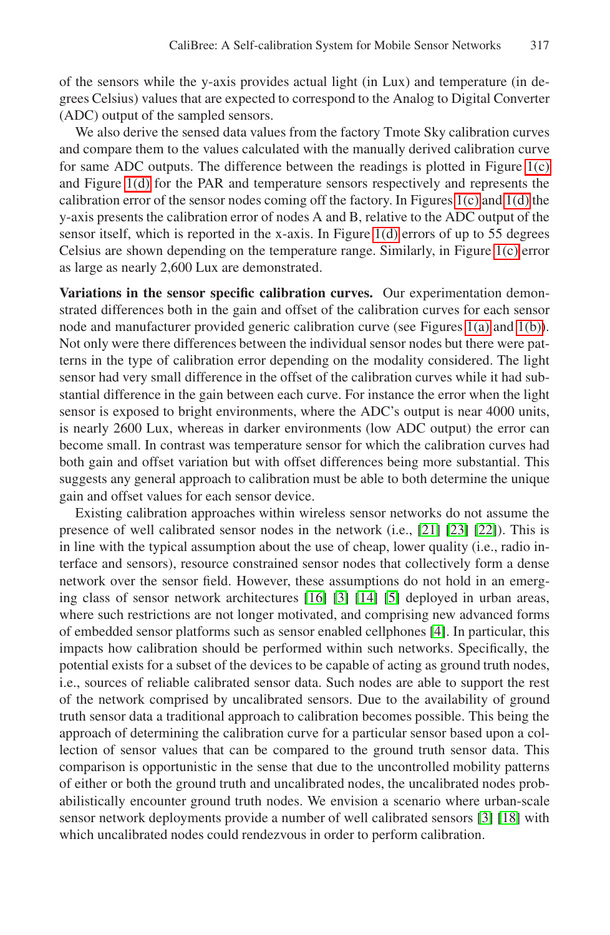of the sensors while the y-axis provides actual l[ight](#page-4-1) [\(](#page-4-1)in [Lux\)](#page-4-2) and temperature (in degrees Celsius) values that are expe[cted to](#page-4-2) correspond to the Analog to Digital Converter (ADC) output of the sampled sensors.

We also derive the sensed data values from the factor[y](#page-4-1) [Tm](#page-4-1)ote Sky calibration curves and compare them to the values calculated with the manually derived calibration curve for same ADC outputs. The difference between the readings is plotted in Figure 1(c) and Figure 1(d) for the PAR and temperature sensors respectively and represents the calibration error of the sensor nodes coming off the [facto](#page-4-3)ry. [In Fig](#page-4-0)ures 1(c) and 1(d) the y-axis presents the calibration error of nodes A and B, relative to the ADC output of the sensor itself, which is reported in the x-axis. In Figure  $1(d)$  errors of up to 55 degrees Celsius are shown depending on the temperature range. Similarly, in Figure 1(c) error as large as nearly 2,600 Lux are demonstrated.

**Variations in the sensor specific calibration curves.** Our experimentation demonstrated differences both in the gain and offset of the calibration curves for each sensor node and manufacturer provided generic calibration curve (see Figures 1(a) and 1(b)). Not only were there differences between the individual sensor nodes but there were patterns in the type of calibration error depending on the modality considered. The light sensor had very small difference in the offset of the calibration curves while it had substantial difference in the gain between each [cur](#page-16-5)v[e. F](#page-16-6)o[r in](#page-16-7)stance the error when the light sensor is exposed to bright environments, where the ADC's output is near 4000 units, is nearly 2600 Lux, whereas in darker environments (low ADC output) the error can become small. In contrast was temperature sensor for which the calibration curves had both gain and offset v[ariat](#page-16-0)i[on](#page-15-1) b[ut w](#page-16-8)i[th](#page-15-4) offset differences being more substantial. This suggests any general approach to calibration must be able to both determine the unique gain and offset values for each sensor device.

Existing calibration approaches within wi[rel](#page-15-3)ess sensor networks do not assume the presence of well calibrated sensor nodes in the network (i.e., [21] [23] [22]). This is in line with the typical assumption about the use of cheap, lower quality (i.e., radio interface and sensors), resource constrained sensor nodes that collectively form a dense network over the sensor field. However, these assumptions do not hold in an emerging class of sensor network architectures [16] [3] [14] [5] deployed in urban areas, where such restrictions are not longer motivated, and comprising new advanced forms of embedded sensor platforms such as sensor enabled cellphones [4]. In particular, this impacts how calibration should be performed within such networks. Specifically, the potential exists for a subset of the devices to be capable of acting as ground truth nodes, i.e., sources of reliable calibrated sensor data. Such [nod](#page-15-1)[es a](#page-16-9)re able to support the rest of the network comprised by uncalibrated sensors. Due to the availability of ground truth sensor data a traditional approach to calibration becomes possible. This being the approach of determining the calibration curve for a particular sensor based upon a collection of sensor values that can be compared to the ground truth sensor data. This comparison is opportunistic in the sense that due to the uncontrolled mobility patterns of either or both the ground truth and uncalibrated nodes, the uncalibrated nodes probabilistically encounter ground truth nodes. We envision a scenario where urban-scale sensor network deployments provide a number of well calibrated sensors [3] [18] with which uncalibrated nodes could rendezvous in order to perform calibration.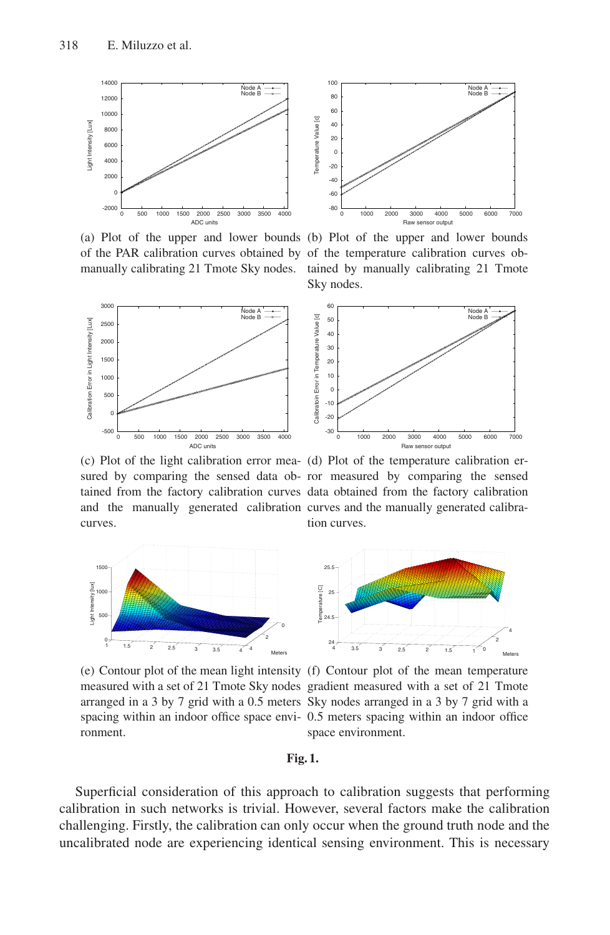<span id="page-4-3"></span>

of the PAR calibration curves obtained by of the temperature calibration curves obmanually calibrating 21 Tmote Sky nodes.



<span id="page-4-1"></span>curves.



<span id="page-4-4"></span>measured with a set of 21 Tmote Sky nodes gradient measured with a set of 21 Tmote arranged in a 3 by 7 grid with a 0.5 meters Sky nodes arranged in a 3 by 7 grid with a spacing within an indoor office space envi-0.5 meters spacing within an indoor office ronment.



<span id="page-4-0"></span>(a) Plot of the upper and lower bounds (b) Plot of the upper and lower bounds tained by manually calibrating 21 Tmote Sky nodes.



<span id="page-4-2"></span>(c) Plot of the light calibration error mea-(d) Plot of the temperature calibration ersured by comparing the sensed data ob-ror measured by comparing the sensed tained from the factory calibration curves data obtained from the factory calibration and the manually generated calibration curves and the manually generated calibration curves.



<span id="page-4-5"></span>(e) Contour plot of the mean light intensity (f) Contour plot of the mean temperature space environment.

**Fig. 1.**

Superficial consideration of this approach to calibration suggests that performing calibration in such networks is trivial. However, several factors make the calibration challenging. Firstly, the calibration can only occur when the ground truth node and the uncalibrated node are experiencing identical sensing environment. This is necessary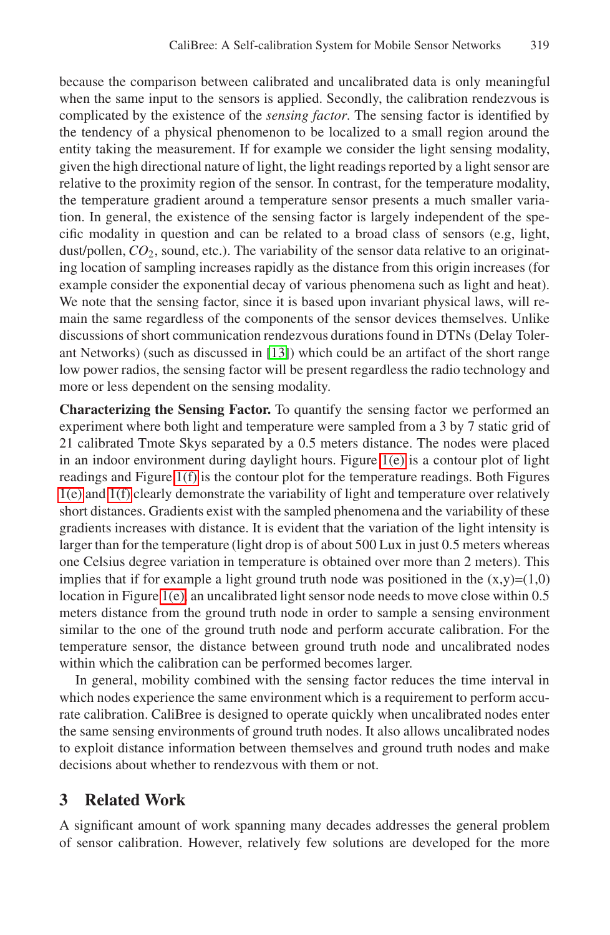because the comparison between calibrated and uncalibrated data is only meaningful when the same input to the sensors is applied. Secondly, the calibration rendezvous is complicated by the existence of the *sensing factor*. The sensing factor is identified by the tendency of a physical phenomenon to be localized to a small region around the entity taking the measurement. If for example we consider the light sensing modality, given the high directional nature of light, the light readings reported by a light sensor are relative to the proximity region of the sensor. In contrast, for the temperature modality, the temperature gradient around a temperature sensor presents a much smaller variation. In general, [the](#page-16-10) existence of the sensing factor is largely independent of the specific modality in question and can be related to a broad class of sensors (e.g, light, dust/pollen, *CO*<sub>2</sub>, sound, etc.). The variability of the sensor data relative to an originating location of sampling increases rapidly as the distance from this origin increases (for example consider the exponential decay of various phenomena such as light and heat). We note that the sensing factor, since it is based upon invariant physical laws, will remain the same regardless of the components of the sensor devices themselves. Unlike discussions of short communication [rend](#page-4-4)ezvous durations found in DTNs (Delay Toler[ant](#page-4-5) [N](#page-4-5)etworks) (such as discussed in [13]) which could be an artifact of the short range low power radios, the sensing factor will be present regardless the radio technology and more or less dependent on the sensing modality.

**Characterizing the Sensing Factor.** To quantify the sensing factor we performed an experiment where both light and temperature were sampled from a 3 by 7 static grid of 21 calibrated Tmote Skys separated by a 0.5 meters distance. The nodes were placed [in](#page-4-4) an indoor environment during daylight hours. Figure 1(e) is a contour plot of light readings and Figure  $1(f)$  is the contour plot for the temperature readings. Both Figures 1(e) and 1(f) clearly demonstrate the variability of light and temperature over relatively short distances. Gradients exist with the sampled phenomena and the variability of these gradients increases with distance. It is evident that the variation of the light intensity is larger than for the temperature (light drop is of about 500 Lux in just 0.5 meters whereas one Celsius degree variation in temperature is obtained over more than 2 meters). This implies that if for example a light ground truth node was positioned in the  $(x,y)=(1,0)$ location in Figure 1(e), an uncalibrated light sensor node needs to move close within 0.5 meters distance from the ground truth node in order to sample a sensing environment similar to the one of the ground truth node and perform accurate calibration. For the temperature sensor, the distance between ground truth node and uncalibrated nodes within which the calibration can be performed becomes larger.

In general, mobility combined with the sensing factor reduces the time interval in which nodes experience the same environment which is a requirement to perform accurate calibration. CaliBree is designed to operate quickly when uncalibrated nodes enter the same sensing environments of ground truth nodes. It also allows uncalibrated nodes to exploit distance information between themselves and ground truth nodes and make decisions about whether to rendezvous with them or not.

### **3 Related Work**

A significant amount of work spanning many decades addresses the general problem of sensor calibration. However, relatively few solutions are developed for the more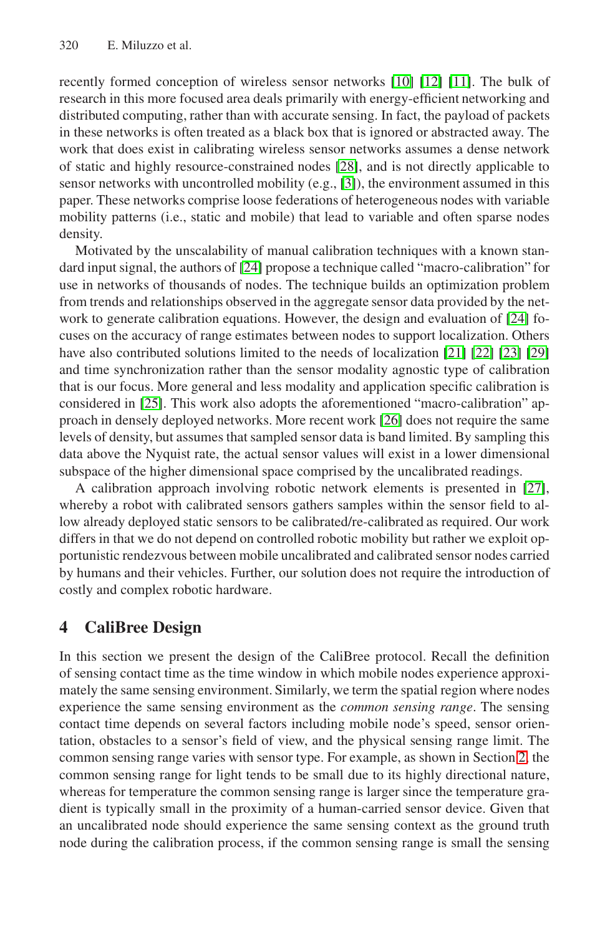recently formed conception of wireless sensor networks [10] [12] [11]. The bulk of research in this more focused area deals primarily with energy-efficient networking and distributed computing, rather than with accurate sensing. In fact, the payload of packets in these net[wor](#page-16-11)ks is often treated as a black box that is ignored or abstracted away. The work that does exist in calibrating wireless sensor networks assumes a dense network of static and highly resource-constrained nodes [28], and is not directly applicable to sensor networks with uncontrolled mobility (e.g., [3]), the [envi](#page-16-11)ronment assumed in this paper. These networks comprise loose federations of heterogeneous nodes with variable mobility patterns (i.e., static and mobile) that l[ead](#page-16-5) [to v](#page-16-7)a[riab](#page-16-6)l[e an](#page-17-3)d often sparse nodes density.

Motivated by the unscalability of manual calibration techniques with a known standard input signal, the authors of [24] propose a technique called "macro-calibration" for use in networks of thousands of no[des.](#page-16-12) The technique builds an optimization problem from trends and relationships observed in the aggregate sensor data provided by the network to generate calibration equations. However, the design and evaluation of [24] focuses on the accuracy of range estimates between nodes to support localization. Others have also contributed solutions limited to the needs of locali[zatio](#page-16-13)n [21] [22] [23] [29] and time synchronization rather than the sensor modality agnostic type of calibration that is our focus. More general and less modality and application specific calibration is considered in [25]. This work also adopts the aforementioned "macro-calibration" approach in densely deployed networks. More recent work [26] does not require the same levels of density, but assumes that sampled sensor data is band limited. By sampling this data above the Nyquist rate, the actual sensor values will exist in a lower dimensional subspace of the higher dimensional space comprised by the uncalibrated readings.

<span id="page-6-0"></span>A calibration approach involving robotic network elements is presented in [27], whereby a robot with calibrated sensors gathers samples within the sensor field to allow already deployed static sensors to be calibrated/re-calibrated as required. Our work differs in that we do not depend on controlled robotic mobility but rather we exploit opportunistic rendezvous between mobile uncalibrated and calibrated sensor nodes carried by humans and their vehicles. Further, our solution does not require the introduction of costly and complex robotic hardware.

### **4 CaliBree Design**

In this section we present the design of the CaliBree protocol. Recall the definition of sensing contact time as the time window in which mobile nodes experience approximately the same sensing environment. Similarly, we term the spatial region where nodes experience the same sensing environment as the *common sensing range*. The sensing contact time depends on several factors including mobile node's speed, sensor orientation, obstacles to a sensor's field of view, and the physical sensing range limit. The common sensing range varies with sensor type. For example, as shown in Section 2, the common sensing range for light tends to be small due to its highly directional nature, whereas for temperature the common sensing range is larger since the temperature gradient is typically small in the proximity of a human-carried sensor device. Given that an uncalibrated node should experience the same sensing context as the ground truth node during the calibration process, if the common sensing range is small the sensing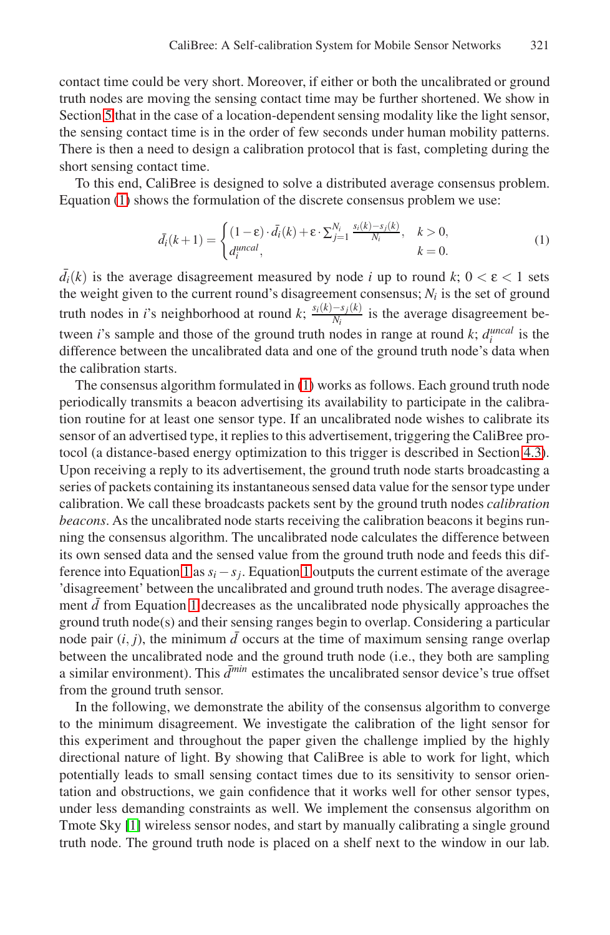<span id="page-7-0"></span>contact time could be very short. Moreover, if either or both the uncalibrated or ground truth nodes are moving the sensing contact time may be further shortened. We show in Section 5 that in the case of a location-dependent sensing modality like the light sensor, the sensing contact time is in the order of few seconds under human mobility patterns. There is then a need to design a calibration protocol that is fast, completing during the short sensing contact time.

To this end, CaliBree is designed to solve a distributed average consensus problem. Equation (1) shows the formulation of the discrete consensus problem we use:

$$
\bar{d}_i(k+1) = \begin{cases}\n(1-\varepsilon) \cdot \bar{d}_i(k) + \varepsilon \cdot \sum_{j=1}^{N_i} \frac{s_i(k) - s_j(k)}{N_i}, & k > 0, \\
d_i^{uncal}, & k = 0.\n\end{cases}
$$
\n(1)

 $d_i(k)$  is the average disagreement measured by node *i* up to round *k*;  $0 < \varepsilon < 1$  sets the weight given to the current round's disagreement consensus;  $N_i$  is the set of ground truth nodes in *i*'s neighborhood at round *k*;  $\frac{s_i(k)-s_j(k)}{N_i}$  is the [aver](#page-10-1)age disagreement between *i*'s sample and those of the ground truth nodes in range at round  $k$ ;  $d_i^{uncal}$  is the difference between the uncalibrated data and one of the ground truth node's data when the calibration starts.

The consensus algorithm formulated in (1) works as follows. Each ground truth node periodically transmits a beacon advertising its availability to participate in the calibration routine for at least one sensor type. If an uncalibrated node wishes to calibrate its [sen](#page-7-0)sor of an advertise[d t](#page-7-0)ype, it replies to this advertisement, triggering the CaliBree protocol (a distance-based energy optimization to this trigger is described in Section 4.3). U[po](#page-7-0)n receiving a reply to its advertisement, the ground truth node starts broadcasting a series of packets containing its instantaneous sensed data value for the sensor type under calibration. We call these broadcasts packets sent by the ground truth nodes *calibration beacons*. As the uncalibrated node starts receiving the calibration beacons it begins running the consensus algorithm. The uncalibrated node calculates the difference between its own sensed data and the sensed value from the ground truth node and feeds this difference into Equation 1 as  $s_i - s_j$ . Equation 1 outputs the current estimate of the average 'disagreement' between the uncalibrated and ground truth nodes. The average disagreement  $\bar{d}$  from Equation 1 decreases as the uncalibrated node physically approaches the ground truth node(s) and their sensing ranges begin to overlap. Considering a particular node pair  $(i, j)$ , the minimum  $\overline{d}$  occurs at the time of maximum sensing range overlap between the uncalibrated node and the ground truth node (i.e., they both are sampling a similar environment). This  $\overline{d}^{min}$  estimates the uncalibrated sensor device's true offset from the ground truth sensor.

In the following, we demonstrate the ability of the consensus algorithm to converge to the minimum disagreement. We investigate the calibration of the light sensor for this experiment and throughout the paper given the challenge implied by the highly directional nature of light. By showing that CaliBree is able to work for light, which potentially leads to small sensing contact times due to its sensitivity to sensor orientation and obstructions, we gain confidence that it works well for other sensor types, under less demanding constraints as well. We implement the consensus algorithm on Tmote Sky [1] wireless sensor nodes, and start by manually calibrating a single ground truth node. The ground truth node is placed on a shelf next to the window in our lab.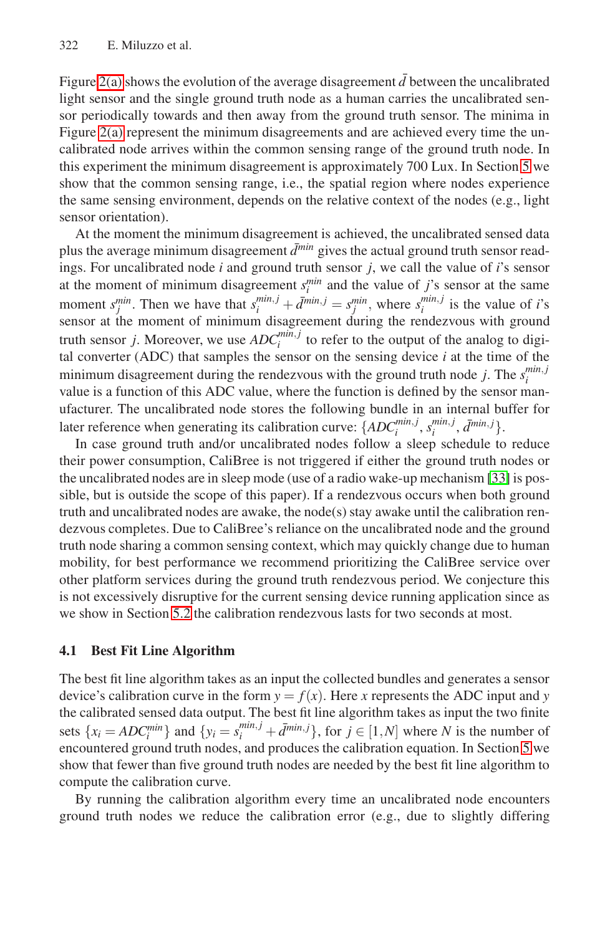Figure 2(a) shows the evolution of the average disagreement  $\bar{d}$  between the uncalibrated light sensor and the single ground truth node as a human carries the uncalibrated sensor periodically towards and then away from the ground truth sensor. The minima in Figure 2(a) represent the minimum disagreements and are achieved every time the uncalibrated node arrives within the common sensing range of the ground truth node. In this experiment the minimum disagreement is approximately 700 Lux. In Section 5 we show that the common sensing range, i.e., the spatial region where nodes experience the same sensing environment, depends on the relative context of the nodes (e.g., light sensor orientation).

At the moment the minimum disagreement is achieved, the uncalibrated sensed data plus the average minimum disagreement  $\bar{d}^{min}$  gives the actual ground truth sensor readings. For uncalibrated node *i* and ground truth sensor *j*, we call the value of *i*'s sensor at the moment of minimum disagreement  $s_i^{min}$  and the value of *j*'s sensor at the same moment *s*<sup>*min*</sup></sub>. Then we have that  $s_i^{min,j} + \bar{d}^{min,j} = s_j^{min}$ , where  $s_i^{min,j}$  is the value of *i*'s sensor at the moment of minimum disagreement during the rendezvous with ground truth sensor *j*. Moreover, we use  $ADC_i^{min,j}$  to refer to t[he o](#page-17-4)utput of the analog to digital converter (ADC) that samples the sensor on the sensing device *i* at the time of the minimum disagreement during the rendezvous with the ground truth node *j*. The  $s_i^{min,j}$ value is a function of this ADC value, where the function is defined by the sensor manufacturer. The uncalibrated node stores the following bundle in an internal buffer for later reference when generating its calibration curve:  $\{ADC_i^{min,j}, s_i^{min,j}, \bar{d}^{min,j}\}.$ 

In case ground truth and/or uncalibrated nodes follow a sleep schedule to reduce their power consumption, CaliBree is not triggered if either the ground truth nodes or [the](#page-11-0) uncalibrated nodes are in sleep mode (use of a radio wake-up mechanism [33] is possible, but is outside the scope of this paper). If a rendezvous occurs when both ground truth and uncalibrated nodes are awake, the node(s) stay awake until the calibration rendezvous completes. Due to CaliBree's reliance on the uncalibrated node and the ground truth node sharing a common sensing context, which may quickly change due to human mobility, for best performance we recommend prioritizing the CaliBree service over other platform services during the ground truth rendezvous period. We conjecture this is not excessively disruptive for the current sensing device running application since as we show in Section 5.2 the calibration rendezvous lasts for t[wo](#page-10-0) seconds at most.

#### **4.1 Best Fit Line Algorithm**

The best fit line algorithm takes as an input the collected bundles and generates a sensor device's calibration curve in the form  $y = f(x)$ . Here *x* represents the ADC input and *y* the calibrated sensed data output. The best fit line algorithm takes as input the two finite sets  $\{x_i = ADC_i^{min}\}\$ and  $\{y_i = s_i^{min,j} + \bar{d}^{min,j}\}\$ , for  $j \in [1,N]$  where *N* is the number of encountered ground truth nodes, and produces the calibration equation. In Section 5 we show that fewer than five ground truth nodes are needed by the best fit line algorithm to compute the calibration curve.

By running the calibration algorithm every time an uncalibrated node encounters ground truth nodes we reduce the calibration error (e.g., due to slightly differing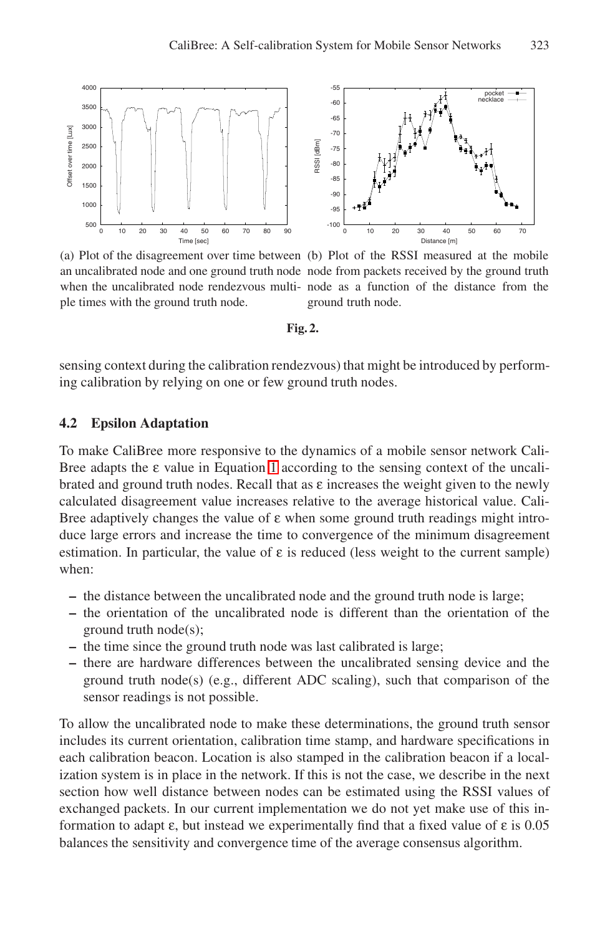<span id="page-9-0"></span>

(a) Plot of the disagreement over time between (b) Plot of the RSSI measured at the mobile an uncalibrated node and one ground truth node node from packets received by the ground truth when the uncalibrated node rendezvous multi-node as a function of the distance from the ple times with the ground truth node. ground truth node.

#### **Fig. 2.**

sensing context during the calibration rendezvous) that might be introduced by performing calibration by relying on one or few ground truth nodes.

### **4.2 Epsilon Adaptation**

To make CaliBree more responsive to the dynamics of a mobile sensor network Cali-Bree adapts the ε value in Equation 1 according to the sensing context of the uncalibrated and ground truth nodes. Recall that as  $\epsilon$  increases the weight given to the newly calculated disagreement value increases relative to the average historical value. Cali-Bree adaptively changes the value of  $\varepsilon$  when some ground truth readings might introduce large errors and increase the time to convergence of the minimum disagreement estimation. In particular, the value of  $\varepsilon$  is reduced (less weight to the current sample) when:

- **–** the distance between the uncalibrated node and the ground truth node is large;
- **–** the orientation of the uncalibrated node is different than the orientation of the ground truth node(s);
- **–** the time since the ground truth node was last calibrated is large;
- **–** there are hardware differences between the uncalibrated sensing device and the ground truth node(s) (e.g., different ADC scaling), such that comparison of the sensor readings is not possible.

To allow the uncalibrated node to make these determinations, the ground truth sensor includes its current orientation, calibration time stamp, and hardware specifications in each calibration beacon. Location is also stamped in the calibration beacon if a localization system is in place in the network. If this is not the case, we describe in the next section how well distance between nodes can be estimated using the RSSI values of exchanged packets. In our current implementation we do not yet make use of this information to adapt  $\varepsilon$ , but instead we experimentally find that a fixed value of  $\varepsilon$  is 0.05 balances the sensitivity and convergence time of the average consensus algorithm.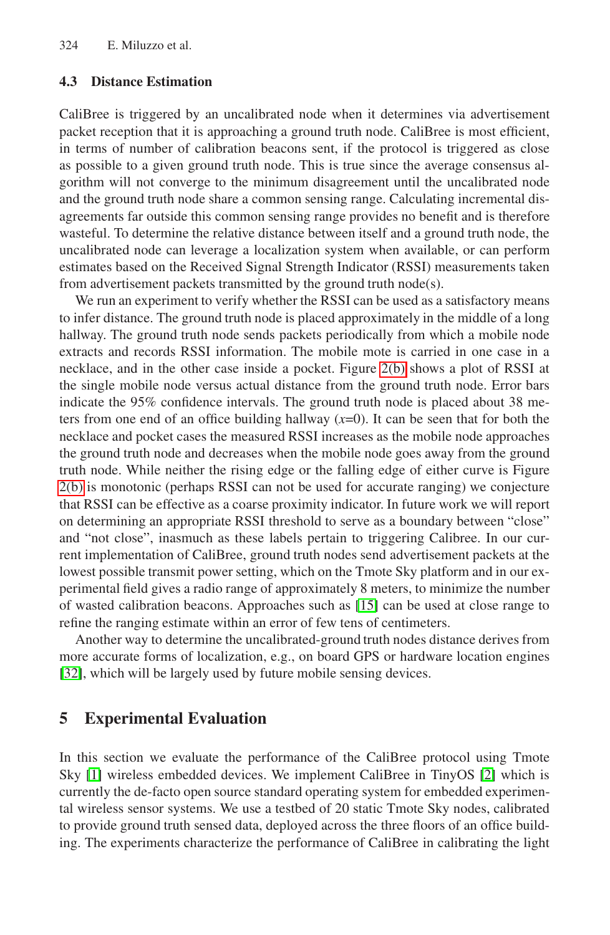### <span id="page-10-1"></span>**4.3 Distance Estimation**

CaliBree is triggered by an uncalibrated node when it determines via advertisement packet reception that it is approaching a ground truth node. CaliBree is most efficient, in terms of number of calibration beacons sent, if the protocol is triggered as close as possible to a given ground truth node. This is true since the average consensus algorithm will not converge to the minimum disagreement until the uncalibrated node and the ground truth node share a common sensing range. Calculating incremental disagreements far outside this common sensing range provides no benefit and is therefore wasteful. To determine the relative [distan](#page-9-0)ce between itself and a ground truth node, the uncalibrated node can leverage a localization system when available, or can perform estimates based on the Received Signal Strength Indicator (RSSI) measurements taken from advertisement packets transmitted by the ground truth node(s).

We run an experiment to verify whether the RSSI can be used as a satisfactory means to infer distance. The ground truth node is placed approximately in the middle of a long hallway. The ground truth node sends packets periodically from which a mobile node extracts and records RSSI information. The mobile mote is carried in one case in a necklace, and in the other case inside a pocket. Figure 2(b) shows a plot of RSSI at the single mobile node versus actual distance from the ground truth node. Error bars indicate the 95% confidence intervals. The ground truth node is placed about 38 meters from one end of an office building hallway (*x*=0). It can be seen that for both the necklace and pocket cases the measured RSSI increases as the mobile node approaches the ground truth node and decreases when the mobile node goes away from the ground truth node. While neither the ri[sing](#page-16-14) edge or the falling edge of either curve is Figure 2(b) is monotonic (perhaps RSSI can not be used for accurate ranging) we conjecture that RSSI can be effective as a coarse proximity indicator. In future work we will report on determining an appropriate RSSI threshold to serve as a boundary between "close" and "not close", inasmuch as these labels pertain to triggering Calibree. In our current implementation of CaliBree, ground truth nodes send advertisement packets at the lowest possible transmit power setting, which on the Tmote Sky platform and in our experimental field gives a radio range of approximately 8 meters, to minimize the number of wasted calibration beacons. Approaches such as [15] can be used at close range to refine the ranging estimate within an error of few tens of centimeters.

<span id="page-10-0"></span>Another way to determine the uncalibrated-ground [tru](#page-15-6)th nodes distance derives from more accurate forms of localization, e.g., on board GPS or hardware location engines [32], which will be largely used by future mobile sensing devices.

# **5 Experimental Evaluation**

In this section we evaluate the performance of the CaliBree protocol using Tmote Sky [1] wireless embedded devices. We implement CaliBree in TinyOS [2] which is currently the de-facto open source standard operating system for embedded experimental wireless sensor systems. We use a testbed of 20 static Tmote Sky nodes, calibrated to provide ground truth sensed data, deployed across the three floors of an office building. The experiments characterize the performance of CaliBree in calibrating the light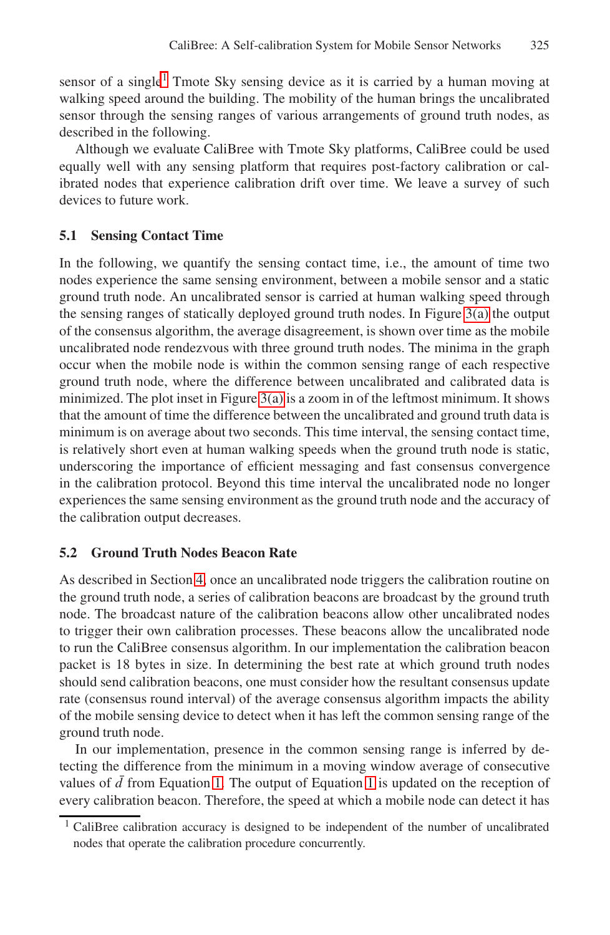sensor of a single<sup>1</sup> Tmote Sky sensing device as it is carried by a human moving at walking speed around the building. The mobility of the human brings the uncalibrated sensor through the sensing ranges of various arrangements of ground truth nodes, as described in the following.

Although we evaluate CaliBree with Tmote Sky platforms, CaliBree could be used equally well with any sensing platform that requires post-factory calibration or calibrated nodes that experience calibration drift ov[er tim](#page-12-0)e. We leave a survey of such devices to future work.

### **5.1 Sensing Contact Time**

In the followi[ng, w](#page-12-0)e quantify the sensing contact time, i.e., the amount of time two nodes experience the same sensing environment, between a mobile sensor and a static ground truth node. An uncalibrated sensor is carried at human walking speed through the sensing ranges of statically deployed ground truth nodes. In Figure 3(a) the output of the consensus algorithm, the average disagreement, is shown over time as the mobile uncalibrated node rendezvous with three ground truth nodes. The minima in the graph occur when the mobile node is within the common sensing range of each respective ground truth node, where the difference between uncalibrated and calibrated data is minimized. The plot inset in Figure 3(a) is a zoom in of the leftmost minimum. It shows that the amount of time the difference between the uncalibrated and ground truth data is minimum is on average about two seconds. This time interval, the sensing contact time, is [rel](#page-6-0)atively short even at human walking speeds when the ground truth node is static, underscoring the importance of efficient messaging and fast consensus convergence in the calibration protocol. Beyond this time interval the uncalibrated node no longer experiences the same sensing environment as the ground truth node and the accuracy of the calibration output decreases.

### <span id="page-11-0"></span>**5.2 Ground Truth Nodes Beacon Rate**

As described in Section 4, once an uncalibrated node triggers the calibration routine on the ground truth node, a series of calibration beacons are broadcast by the ground truth node. The broadcast nature of the calibration beacons allow other uncalibrated nodes to trigger their own calibration processes. These beacons allow the uncalibrated node to run [th](#page-7-0)e CaliBree consensus al[gor](#page-7-0)ithm. In our implementation the calibration beacon packet is 18 bytes in size. In determining the best rate at which ground truth nodes should send calibration beacons, one must consider how the resultant consensus update rate (consensus round interval) of the average consensus algorithm impacts the ability of the mobile sensing device to detect when it has left the common sensing range of the ground truth node.

In our implementation, presence in the common sensing range is inferred by detecting the difference from the minimum in a moving window average of consecutive values of  $\bar{d}$  from Equation 1. The output of Equation 1 is updated on the reception of every calibration beacon. Therefore, the speed at which a mobile node can detect it has

<sup>1</sup> CaliBree calibration accuracy is designed to be independent of the number of uncalibrated nodes that operate the calibration procedure concurrently.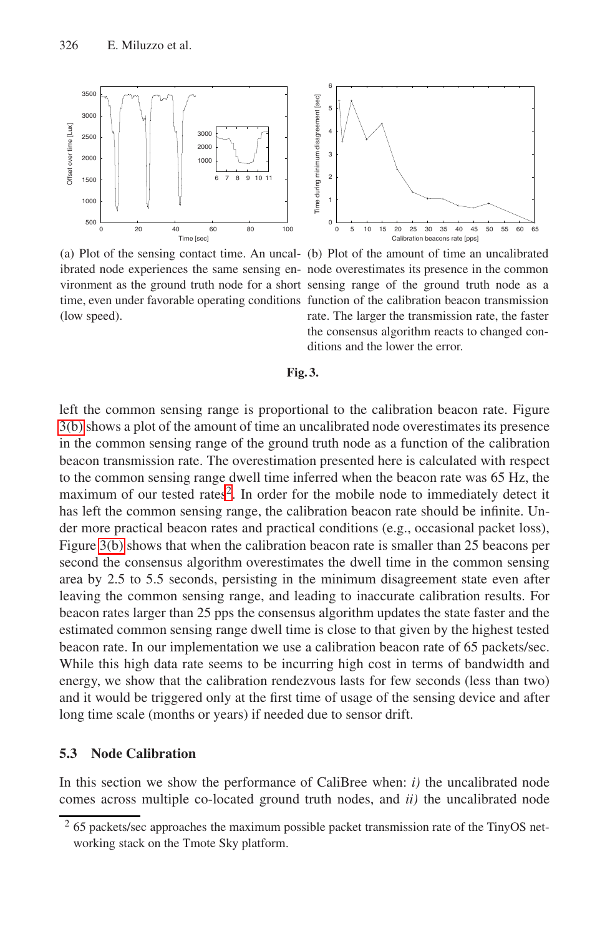<span id="page-12-0"></span>

(low speed).



(a) Plot of the sensing contact time. An uncal-(b) Plot of the amount of time an uncalibrated ibrated node experiences the same sensing en-node overestimates its presence in the common vironment as the ground truth node for a short sensing range of the ground truth node as a time, even under favorable operating conditions function of the calibration beacon transmission rate. The larger the transmission rate, the faster the consensus algorithm reacts to changed conditions and the lower the error.

**Fig. 3.**

left the common sensing range is proportional to the calibration beacon rate. Figure 3(b) shows a plot of the amount of time an uncalibrated node overestimates its presence in the common sensing range of the ground truth node as a function of the calibration beacon transmission rate. The overestimation presented here is calculated with respect to the common sensing range dwell time inferred when the beacon rate was 65 Hz, the maximum of our tested rates<sup>2</sup>. In order for the mobile node to immediately detect it has left the common sensing range, the calibration beacon rate should be infinite. Under more practical beacon rates and practical conditions (e.g., occasional packet loss), Figure 3(b) shows that when the calibration beacon rate is smaller than 25 beacons per second the consensus algorithm overestimates the dwell time in the common sensing area by 2.5 to 5.5 seconds, persisting in the minimum disagreement state even after leaving the common sensing range, and leading to inaccurate calibration results. For beacon rates larger than 25 pps the consensus algorithm updates the state faster and the estimated common sensing range dwell time is close to that given by the highest tested beacon rate. In our implementation we use a calibration beacon rate of 65 packets/sec. While this high data rate seems to be incurring high cost in terms of bandwidth and energy, we show that the calibration rendezvous lasts for few seconds (less than two) and it would be triggered only at the first time of usage of the sensing device and after long time scale (months or years) if needed due to sensor drift.

#### **5.3 Node Calibration**

In this section we show the performance of CaliBree when: *i)* the uncalibrated node comes across multiple co-located ground truth nodes, and *ii)* the uncalibrated node

 $265$  packets/sec approaches the maximum possible packet transmission rate of the TinyOS networking stack on the Tmote Sky platform.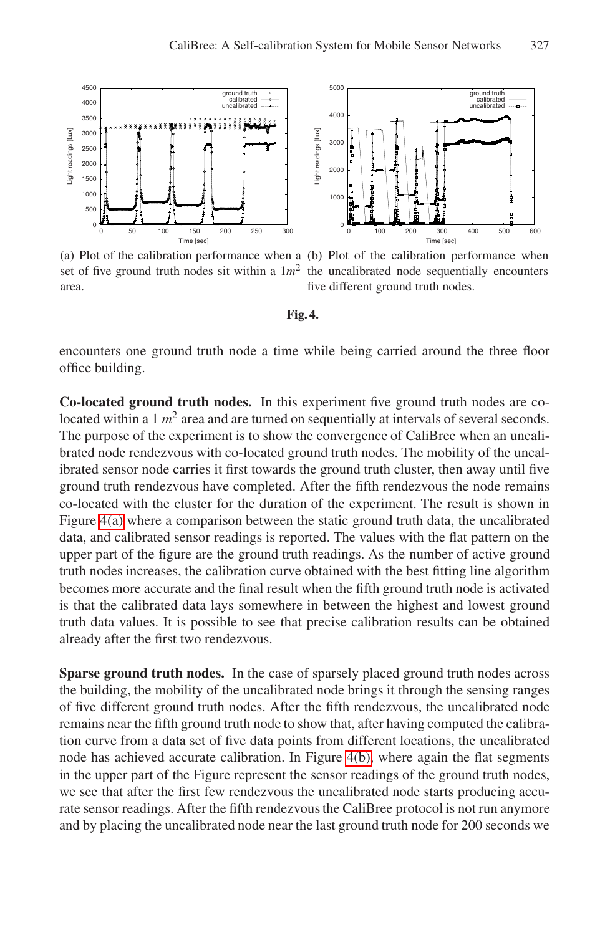<span id="page-13-0"></span>

(a) Plot of the calibration performance when a (b) Plot of the calibration performance when set of five ground truth nodes sit within a  $1m^2$  the uncalibrated node sequentially encounters area. five different ground truth nodes.

**Fig. 4.**

encounters one ground truth node a time while being carried around the three floor office building.

**Co-located ground truth nodes.** In this experiment five ground truth nodes are colocated within a  $1 m<sup>2</sup>$  area and are turned on sequentially at intervals of several seconds. The purpose of the experiment is to show the convergence of CaliBree when an uncalibrated node rendezvous with co-located ground truth nodes. The mobility of the uncalibrated sensor node carries it first towards the ground truth cluster, then away until five ground truth rendezvous have completed. After the fifth rendezvous the node remains co-located with the cluster for the duration of the experiment. The result is shown in Figure 4(a) where a comparison between the static ground truth data, the uncalibrated data, and calibrated sensor readings is reported. The values with the flat pattern on the upper part of the figure are the ground truth readings. As the number of active ground truth nodes increases, the calibration curve obtained with the best fitting line algorithm becomes more accurate and the final result when the fifth ground truth node is activated is that the calibrated data lays somewhere in between the highest and lowest ground truth data values. It is possib[le to](#page-13-0) see that precise calibration results can be obtained already after the first two rendezvous.

**Sparse ground truth nodes.** In the case of sparsely placed ground truth nodes across the building, the mobility of the uncalibrated node brings it through the sensing ranges of five different ground truth nodes. After the fifth rendezvous, the uncalibrated node remains near the fifth ground truth node to show that, after having computed the calibration curve from a data set of five data points from different locations, the uncalibrated node has achieved accurate calibration. In Figure 4(b), where again the flat segments in the upper part of the Figure represent the sensor readings of the ground truth nodes, we see that after the first few rendezvous the uncalibrated node starts producing accurate sensor readings. After the fifth rendezvous the CaliBree protocol is not run anymore and by placing the uncalibrated node near the last ground truth node for 200 seconds we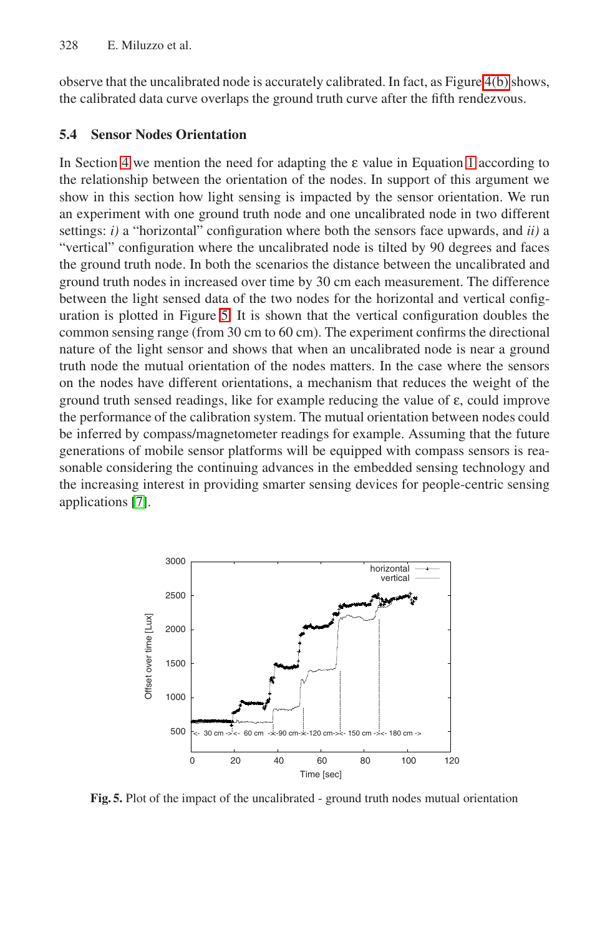observe that the uncalibrated node is accurately calibrated. In fact, as Figure 4(b) shows, the calibrated data curve overlaps the ground truth curve after the fifth rendezvous.

#### **5.4 Sensor Nodes Orientation**

In Section 4 we mention the need for adapting the  $\varepsilon$  value in Equation 1 according to the rela[tio](#page-14-0)nship between the orientation of the nodes. In support of this argument we show in this section how light sensing is impacted by the sensor orientation. We run an experiment with one ground truth node and one uncalibrated node in two different settings: *i)* a "horizontal" configuration where both the sensors face upwards, and *ii)* a "vertical" configuration where the uncalibrated node is tilted by 90 degrees and faces the ground truth node. In both the scenarios the distance between the uncalibrated and ground truth nodes in increased over time by 30 cm each measurement. The difference between the light sensed data of the two nodes for the horizontal and vertical configuration is plotted in Figure 5. It is shown that the vertical configuration doubles the common sensing range (from 30 cm to 60 cm). The experiment confirms the directional nature of the light sensor and shows that when an uncalibrated node is near a ground truth node the mutual orientation of the nodes matters. In the case where the sensors on the nodes have different orientations, a mechanism that reduces the weight of the ground truth sensed readings, like for example reducing the value of ε, could improve the performance of the calibration system. The mutual orientation between nodes could be inferred by compass/magnetometer readings for example. Assuming that the future generations of mobile sensor platforms will be equipped with compass sensors is reasonable considering the continuing advances in the embedded sensing technology and the increasing interest in providing smarter sensing devices for people-centric sensing applications [7].



<span id="page-14-0"></span>**Fig. 5.** Plot of the impact of the uncalibrated - ground truth nodes mutual orientation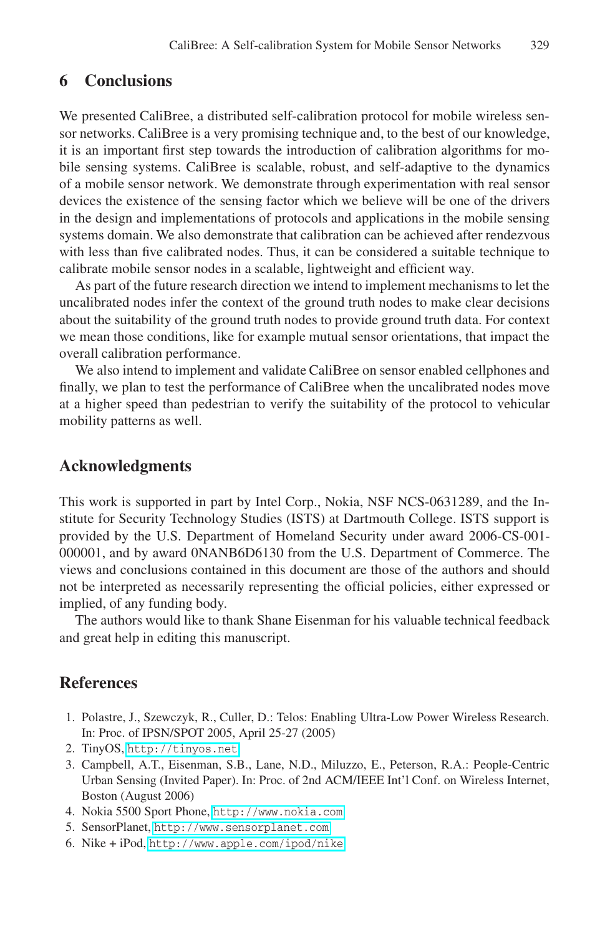# <span id="page-15-5"></span>**6 Conclusions**

We presented CaliBree, a distributed self-calibration protocol for mobile wireless sensor networks. CaliBree is a very promising technique and, to the best of our knowledge, it is an important first step towards the introduction of calibration algorithms for mobile sensing systems. CaliBree is scalable, robust, and self-adaptive to the dynamics of a mobile sensor network. We demonstrate through experimentation with real sensor devices the existence of the sensing factor which we believe will be one of the drivers in the design and implementations of protocols and applications in the mobile sensing systems domain. We also demonstrate that calibration can be achieved after rendezvous with less than five calibrated nodes. Thus, it can be considered a suitable technique to calibrate mobile sensor nodes in a scalable, lightweight and efficient way.

As part of the future research direction we intend to implement mechanisms to let the uncalibrated nodes infer the context of the ground truth nodes to make clear decisions about the suitability of the ground truth nodes to provide ground truth data. For context we mean those conditions, like for example mutual sensor orientations, that impact the overall calibration performance.

We also intend to implement and validate CaliBree on sensor enabled cellphones and finally, we plan to test the performance of CaliBree when the uncalibrated nodes move at a higher speed than pedestrian to verify the suitability of the protocol to vehicular mobility patterns as well.

### **Acknowledgments**

This work is supported in part by Intel Corp., Nokia, NSF NCS-0631289, and the Institute for Security Technology Studies (ISTS) at Dartmouth College. ISTS support is provided by the U.S. Department of Homeland Security under award 2006-CS-001- 000001, and by award 0NANB6D6130 from the U.S. Department of Commerce. The views and conclusions contained in this document are those of the authors and should not be interpreted as necessarily representing the official policies, either expressed or implied, of any funding body.

<span id="page-15-6"></span><span id="page-15-1"></span><span id="page-15-0"></span>[The auth](http://tinyos.net)ors would like to thank Shane Eisenman for his valuable technical feedback and great help in editing this manuscript.

### <span id="page-15-4"></span><span id="page-15-3"></span><span id="page-15-2"></span>**[Refe](http://www.sensorplanet.com)[rences](http://www.nokia.com)**

- [1.](http://www.apple.com/ipod/nike) [Polastre,](http://www.apple.com/ipod/nike) [J.,](http://www.apple.com/ipod/nike) [Szewczyk,](http://www.apple.com/ipod/nike) [R.,](http://www.apple.com/ipod/nike) [C](http://www.apple.com/ipod/nike)uller, D.: Telos: Enabling Ultra-Low Power Wireless Research. In: Proc. of IPSN/SPOT 2005, April 25-27 (2005)
- 2. TinyOS, http://tinyos.net
- 3. Campbell, A.T., Eisenman, S.B., Lane, N.D., Miluzzo, E., Peterson, R.A.: People-Centric Urban Sensing (Invited Paper). In: Proc. of 2nd ACM/IEEE Int'l Conf. on Wireless Internet, Boston (August 2006)
- 4. Nokia 5500 Sport Phone, http://www.nokia.com
- 5. SensorPlanet, http://www.sensorplanet.com
- 6. Nike + iPod, http://www.apple.com/ipod/nike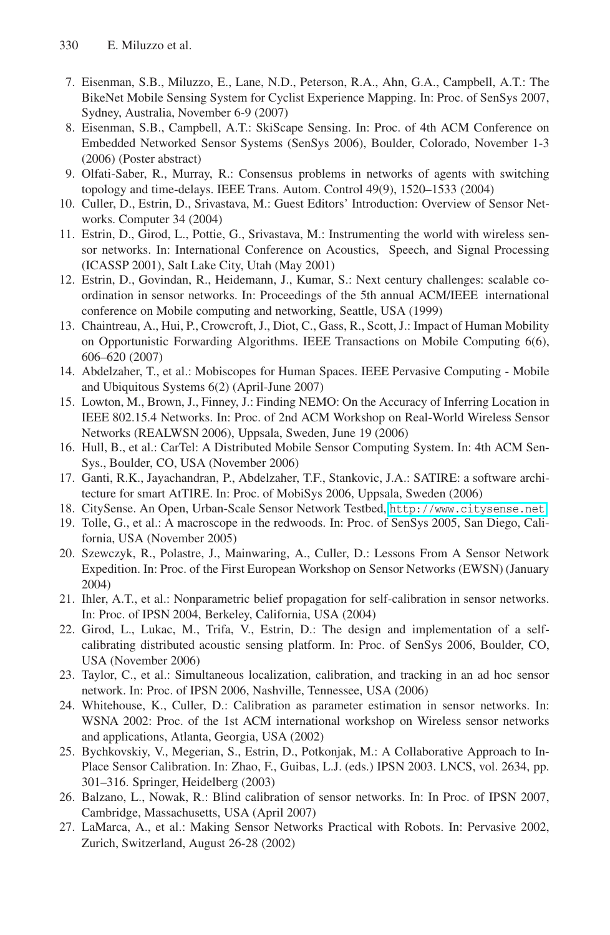- <span id="page-16-2"></span>7. Eisenman, S.B., Miluzzo, E., Lane, N.D., Peterson, R.A., Ahn, G.A., Campbell, A.T.: The BikeNet Mobile Sensing System for Cyclist Experience Mapping. In: Proc. of SenSys 2007, Sydney, Australia, November 6-9 (2007)
- 8. Eisenman, S.B., Campbell, A.T.: SkiScape Sensing. In: Proc. of 4th ACM Conference on Embedded Networked Sensor Systems (SenSys 2006), Boulder, Colorado, November 1-3 (2006) (Poster abstract)
- 9. Olfati-Saber, R., Murray, R.: Consensus problems in networks of agents with switching topology and time-delays. IEEE Trans. Autom. Control 49(9), 1520–1533 (2004)
- <span id="page-16-10"></span>10. Culler, D., Estrin, D., Srivastava, M.: Guest Editors' Introduction: Overview of Sensor Networks. Computer 34 (2004)
- <span id="page-16-8"></span>11. Estrin, D., Girod, L., Pottie, G., Srivastava, M.: Instrumenting the world with wireless sensor networks. In: International Conference on Acoustics, Speech, and Signal Processing (ICASSP 2001), Salt Lake City, Utah (May 2001)
- <span id="page-16-14"></span>12. Estrin, D., Govindan, R., Heidemann, J., Kumar, S.: Next century challenges: scalable coordination in sensor networks. In: Proceedings of the 5th annual ACM/IEEE international conference on Mobile computing and networking, Seattle, USA (1999)
- <span id="page-16-1"></span><span id="page-16-0"></span>13. Chaintreau, A., Hui, P., Crowcroft, J., Diot, C., Gass, R., Scott, J.: Impact of Human Mobility on Opportunistic Forwarding Algorithms. IEEE Transactions on Mobile Computing 6(6), 606–620 (2007)
- <span id="page-16-9"></span><span id="page-16-3"></span>14. Abdelzaher, T., et al.: Mobiscopes fo[r Human Spaces. IEEE Pervasiv](http://www.citysense.net)e Computing - Mobile and Ubiquitous Systems 6(2) (April-June 2007)
- <span id="page-16-4"></span>15. Lowton, M., Brown, J., Finney, J.: Finding NEMO: On the Accuracy of Inferring Location in IEEE 802.15.4 Networks. In: Proc. of 2nd ACM Workshop on Real-World Wireless Sensor Networks (REALWSN 2006), Uppsala, Sweden, June 19 (2006)
- <span id="page-16-5"></span>16. Hull, B., et al.: CarTel: A Distributed Mobile Sensor Computing System. In: 4th ACM Sen-Sys., Boulder, CO, USA (November 2006)
- <span id="page-16-7"></span>17. Ganti, R.K., Jayachandran, P., Abdelzaher, T.F., Stankovic, J.A.: SATIRE: a software architecture for smart AtTIRE. In: Proc. of MobiSys 2006, Uppsala, Sweden (2006)
- 18. CitySense. An Open, Urban-Scale Sensor Network Testbed, http://www.citysense.net 19. Tolle, G., et al.: A macroscope in the redwoods. In: Proc. of SenSys 2005, San Diego, Cali-
- <span id="page-16-11"></span><span id="page-16-6"></span>fornia, USA (November 2005) 20. Szewczyk, R., Polastre, J., Mainwaring, A., Culler, D.: Lessons From A Sensor Network Expedition. In: Proc. of the First European Workshop on Sensor Networks (EWSN) (January 2004)
- 21. Ihler, A.T., et al.: Nonparametric belief propagation for self-calibration in sensor networks. In: Proc. of IPSN 2004, Berkeley, California, USA (2004)
- 22. Girod, L., Lukac, M., Trifa, V., Estrin, D.: The design and implementation of a selfcalibrating distributed acoustic sensing platform. In: Proc. of SenSys 2006, Boulder, CO, USA (November 2006)
- <span id="page-16-13"></span><span id="page-16-12"></span>23. Taylor, C., et al.: Simultaneous localization, calibration, and tracking in an ad hoc sensor network. In: Proc. of IPSN 2006, Nashville, Tennessee, USA (2006)
- 24. Whitehouse, K., Culler, D.: Calibration as parameter estimation in sensor networks. In: WSNA 2002: Proc. of the 1st ACM international workshop on Wireless sensor networks and applications, Atlanta, Georgia, USA (2002)
- 25. Bychkovskiy, V., Megerian, S., Estrin, D., Potkonjak, M.: A Collaborative Approach to In-Place Sensor Calibration. In: Zhao, F., Guibas, L.J. (eds.) IPSN 2003. LNCS, vol. 2634, pp. 301–316. Springer, Heidelberg (2003)
- 26. Balzano, L., Nowak, R.: Blind calibration of sensor networks. In: In Proc. of IPSN 2007, Cambridge, Massachusetts, USA (April 2007)
- 27. LaMarca, A., et al.: Making Sensor Networks Practical with Robots. In: Pervasive 2002, Zurich, Switzerland, August 26-28 (2002)